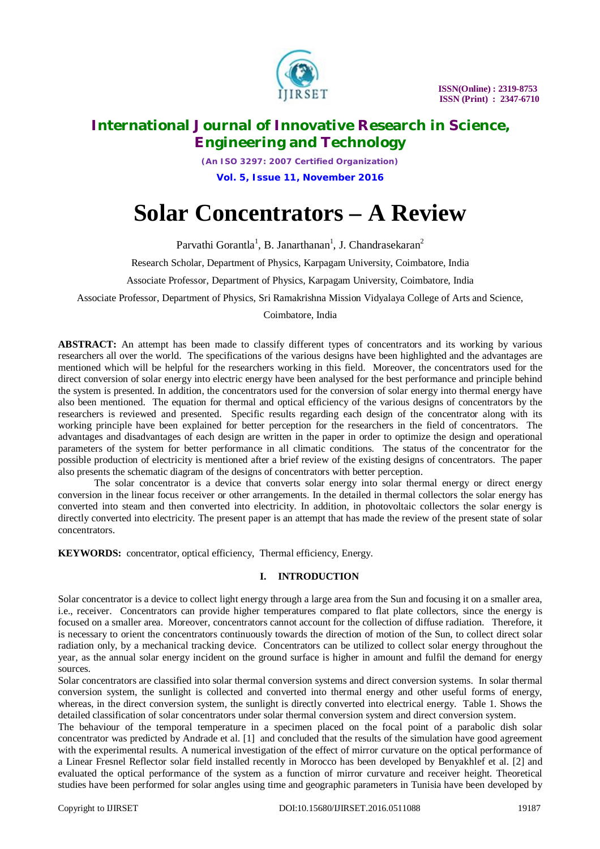

*(An ISO 3297: 2007 Certified Organization)* **Vol. 5, Issue 11, November 2016**

# **Solar Concentrators – A Review**

Parvathi Gorantla<sup>1</sup>, B. Janarthanan<sup>1</sup>, J. Chandrasekaran<sup>2</sup>

Research Scholar, Department of Physics, Karpagam University, Coimbatore, India

Associate Professor, Department of Physics, Karpagam University, Coimbatore, India

Associate Professor, Department of Physics, Sri Ramakrishna Mission Vidyalaya College of Arts and Science,

### Coimbatore, India

**ABSTRACT:** An attempt has been made to classify different types of concentrators and its working by various researchers all over the world. The specifications of the various designs have been highlighted and the advantages are mentioned which will be helpful for the researchers working in this field. Moreover, the concentrators used for the direct conversion of solar energy into electric energy have been analysed for the best performance and principle behind the system is presented. In addition, the concentrators used for the conversion of solar energy into thermal energy have also been mentioned. The equation for thermal and optical efficiency of the various designs of concentrators by the researchers is reviewed and presented. Specific results regarding each design of the concentrator along with its working principle have been explained for better perception for the researchers in the field of concentrators. The advantages and disadvantages of each design are written in the paper in order to optimize the design and operational parameters of the system for better performance in all climatic conditions. The status of the concentrator for the possible production of electricity is mentioned after a brief review of the existing designs of concentrators. The paper also presents the schematic diagram of the designs of concentrators with better perception.

The solar concentrator is a device that converts solar energy into solar thermal energy or direct energy conversion in the linear focus receiver or other arrangements. In the detailed in thermal collectors the solar energy has converted into steam and then converted into electricity. In addition, in photovoltaic collectors the solar energy is directly converted into electricity. The present paper is an attempt that has made the review of the present state of solar concentrators.

**KEYWORDS:** concentrator, optical efficiency, Thermal efficiency, Energy.

### **I. INTRODUCTION**

Solar concentrator is a device to collect light energy through a large area from the Sun and focusing it on a smaller area, i.e., receiver. Concentrators can provide higher temperatures compared to flat plate collectors, since the energy is focused on a smaller area. Moreover, concentrators cannot account for the collection of diffuse radiation. Therefore, it is necessary to orient the concentrators continuously towards the direction of motion of the Sun, to collect direct solar radiation only, by a mechanical tracking device. Concentrators can be utilized to collect solar energy throughout the year, as the annual solar energy incident on the ground surface is higher in amount and fulfil the demand for energy sources.

Solar concentrators are classified into solar thermal conversion systems and direct conversion systems. In solar thermal conversion system, the sunlight is collected and converted into thermal energy and other useful forms of energy, whereas, in the direct conversion system, the sunlight is directly converted into electrical energy. Table 1. Shows the detailed classification of solar concentrators under solar thermal conversion system and direct conversion system.

The behaviour of the temporal temperature in a specimen placed on the focal point of a parabolic dish solar concentrator was predicted by Andrade et al. [1] and concluded that the results of the simulation have good agreement with the experimental results. A numerical investigation of the effect of mirror curvature on the optical performance of a Linear Fresnel Reflector solar field installed recently in Morocco has been developed by Benyakhlef et al. [2] and evaluated the optical performance of the system as a function of mirror curvature and receiver height. Theoretical studies have been performed for solar angles using time and geographic parameters in Tunisia have been developed by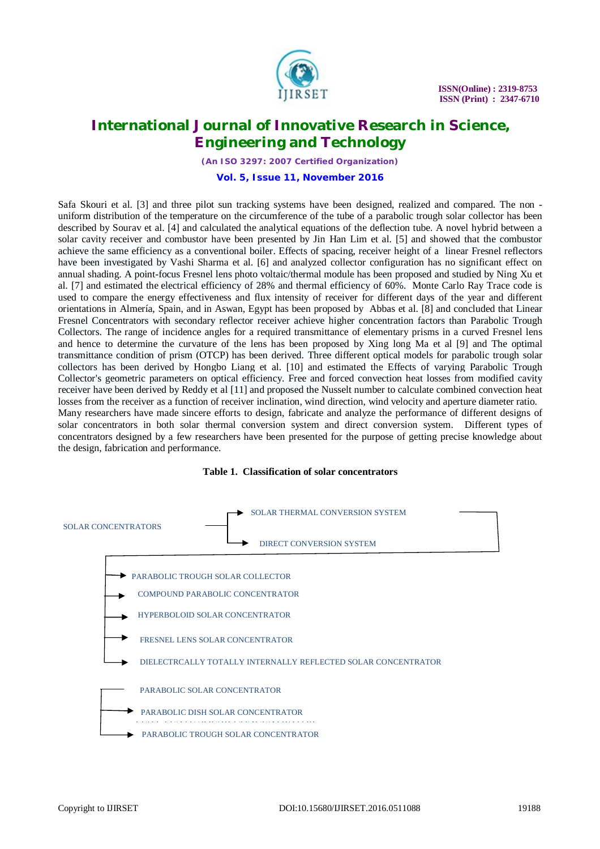

*(An ISO 3297: 2007 Certified Organization)*

#### **Vol. 5, Issue 11, November 2016**

Safa Skouri et al. [3] and three pilot sun tracking systems have been designed, realized and compared. The non uniform distribution of the temperature on the circumference of the tube of a parabolic trough solar collector has been described by Sourav et al. [4] and calculated the analytical equations of the deflection tube. A novel hybrid between a solar cavity receiver and combustor have been presented by Jin Han Lim et al. [5] and showed that the combustor achieve the same efficiency as a conventional boiler. Effects of spacing, receiver height of a linear Fresnel reflectors have been investigated by Vashi Sharma et al. [6] and analyzed collector configuration has no significant effect on annual shading. A point-focus Fresnel lens photo voltaic/thermal module has been proposed and studied by Ning Xu et al. [7] and estimated the electrical efficiency of 28% and thermal efficiency of 60%. Monte Carlo Ray Trace code is used to compare the energy effectiveness and flux intensity of receiver for different days of the year and different orientations in Almería, Spain, and in Aswan, Egypt has been proposed by Abbas et al. [8] and concluded that Linear Fresnel Concentrators with secondary reflector receiver achieve higher concentration factors than Parabolic Trough Collectors. The range of incidence angles for a required transmittance of elementary prisms in a curved Fresnel lens and hence to determine the curvature of the lens has been proposed by Xing long Ma et al [9] and The optimal transmittance condition of prism (OTCP) has been derived. Three different optical models for parabolic trough solar collectors has been derived by Hongbo Liang et al. [10] and estimated the Effects of varying Parabolic Trough Collector's geometric parameters on optical efficiency. Free and forced convection heat losses from modified cavity receiver have been derived by Reddy et al [11] and proposed the Nusselt number to calculate combined convection heat losses from the receiver as a function of receiver inclination, wind direction, wind velocity and aperture diameter ratio. Many researchers have made sincere efforts to design, fabricate and analyze the performance of different designs of solar concentrators in both solar thermal conversion system and direct conversion system. Different types of concentrators designed by a few researchers have been presented for the purpose of getting precise knowledge about the design, fabrication and performance.



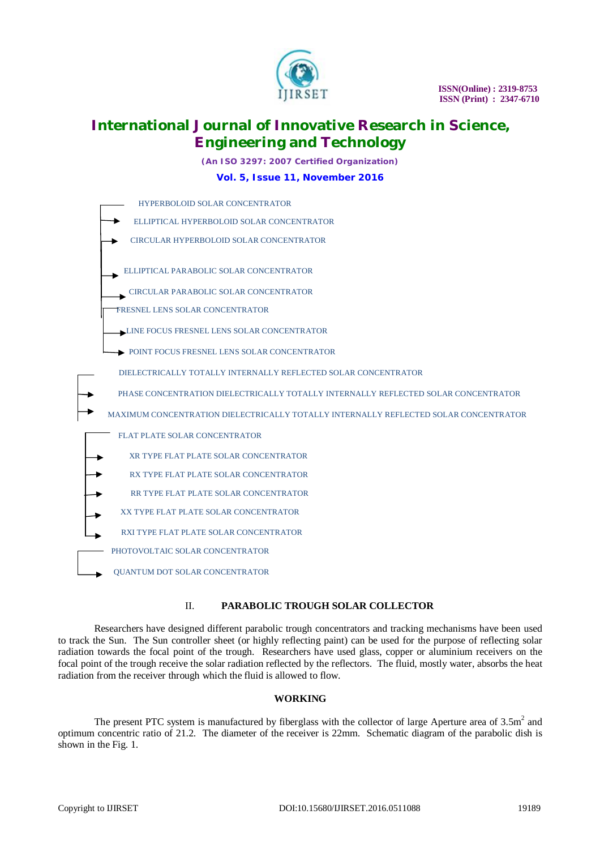

*(An ISO 3297: 2007 Certified Organization)*

#### **Vol. 5, Issue 11, November 2016**



#### II. **PARABOLIC TROUGH SOLAR COLLECTOR**

Researchers have designed different parabolic trough concentrators and tracking mechanisms have been used to track the Sun. The Sun controller sheet (or highly reflecting paint) can be used for the purpose of reflecting solar radiation towards the focal point of the trough. Researchers have used glass, copper or aluminium receivers on the focal point of the trough receive the solar radiation reflected by the reflectors. The fluid, mostly water, absorbs the heat radiation from the receiver through which the fluid is allowed to flow.

#### **WORKING**

The present PTC system is manufactured by fiberglass with the collector of large Aperture area of  $3.5m<sup>2</sup>$  and optimum concentric ratio of 21.2. The diameter of the receiver is 22mm. Schematic diagram of the parabolic dish is shown in the Fig. 1.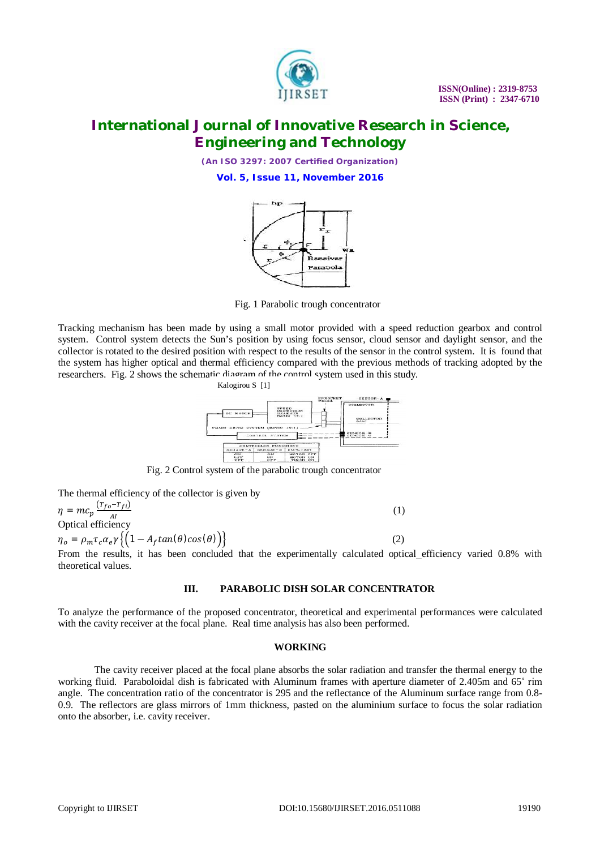

*(An ISO 3297: 2007 Certified Organization)*

**Vol. 5, Issue 11, November 2016**



Fig. 1 Parabolic trough concentrator

Tracking mechanism has been made by using a small motor provided with a speed reduction gearbox and control system. Control system detects the Sun's position by using focus sensor, cloud sensor and daylight sensor, and the collector is rotated to the desired position with respect to the results of the sensor in the control system. It is found that the system has higher optical and thermal efficiency compared with the previous methods of tracking adopted by the researchers. Fig. 2 shows the schematic diagram of the control system used in this study. Kalogirou S [1]



Fig. 2 Control system of the parabolic trough concentrator

The thermal efficiency of the collector is given by

 $\eta = m c_p \frac{(T_{fo} - T_{fi})}{4I}$  $\overline{O}$ ptical efficiency  $(1)$  $\eta_o = \rho_m \tau_c \alpha_e \gamma \left\{ \left( 1 - A_f \tan(\theta) \cos(\theta) \right) \right\}$  (2)

From the results, it has been concluded that the experimentally calculated optical efficiency varied 0.8% with theoretical values.

### **III. PARABOLIC DISH SOLAR CONCENTRATOR**

To analyze the performance of the proposed concentrator, theoretical and experimental performances were calculated with the cavity receiver at the focal plane. Real time analysis has also been performed.

#### **WORKING**

The cavity receiver placed at the focal plane absorbs the solar radiation and transfer the thermal energy to the working fluid. Paraboloidal dish is fabricated with Aluminum frames with aperture diameter of 2.405m and 65˚ rim angle. The concentration ratio of the concentrator is 295 and the reflectance of the Aluminum surface range from 0.8- 0.9. The reflectors are glass mirrors of 1mm thickness, pasted on the aluminium surface to focus the solar radiation onto the absorber, i.e. cavity receiver.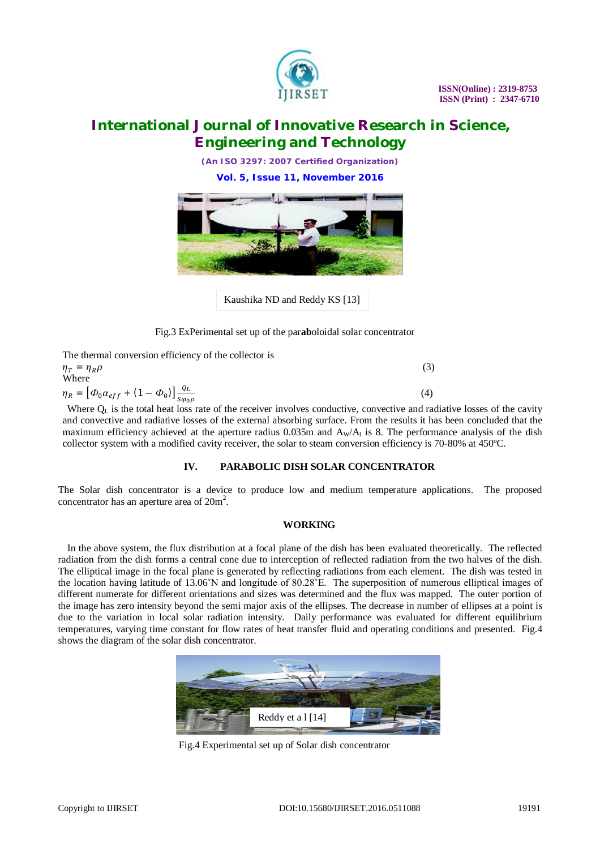

*(An ISO 3297: 2007 Certified Organization)*

**Vol. 5, Issue 11, November 2016**



Kaushika ND and Reddy KS [13]

Fig.3 ExPerimental set up of the par**ab**oloidal solar concentrator

| The thermal conversion efficiency of the collector is                                                   |     |
|---------------------------------------------------------------------------------------------------------|-----|
| $\eta_T = \eta_R \rho$                                                                                  | (3) |
| Where                                                                                                   |     |
| $\eta_R = [\Phi_0 \alpha_{eff} + (1 - \Phi_0)] \frac{q_L}{s \omega_0 \rho}$                             | (4) |
| Where $\Omega$ is the total heat less note of the negative involves conductive convective and nedictive |     |

Where  $Q_L$  is the total heat loss rate of the receiver involves conductive, convective and radiative losses of the cavity and convective and radiative losses of the external absorbing surface. From the results it has been concluded that the maximum efficiency achieved at the aperture radius  $0.035m$  and  $A_w/A_l$  is 8. The performance analysis of the dish collector system with a modified cavity receiver, the solar to steam conversion efficiency is 70-80% at 450ºC.

### **IV. PARABOLIC DISH SOLAR CONCENTRATOR**

The Solar dish concentrator is a device to produce low and medium temperature applications. The proposed concentrator has an aperture area of  $20m^2$ .

#### **WORKING**

In the above system, the flux distribution at a focal plane of the dish has been evaluated theoretically. The reflected radiation from the dish forms a central cone due to interception of reflected radiation from the two halves of the dish. The elliptical image in the focal plane is generated by reflecting radiations from each element. The dish was tested in the location having latitude of 13.06˚N and longitude of 80.28˚E. The superposition of numerous elliptical images of different numerate for different orientations and sizes was determined and the flux was mapped. The outer portion of the image has zero intensity beyond the semi major axis of the ellipses. The decrease in number of ellipses at a point is due to the variation in local solar radiation intensity. Daily performance was evaluated for different equilibrium temperatures, varying time constant for flow rates of heat transfer fluid and operating conditions and presented. Fig.4 shows the diagram of the solar dish concentrator.



Fig.4 Experimental set up of Solar dish concentrator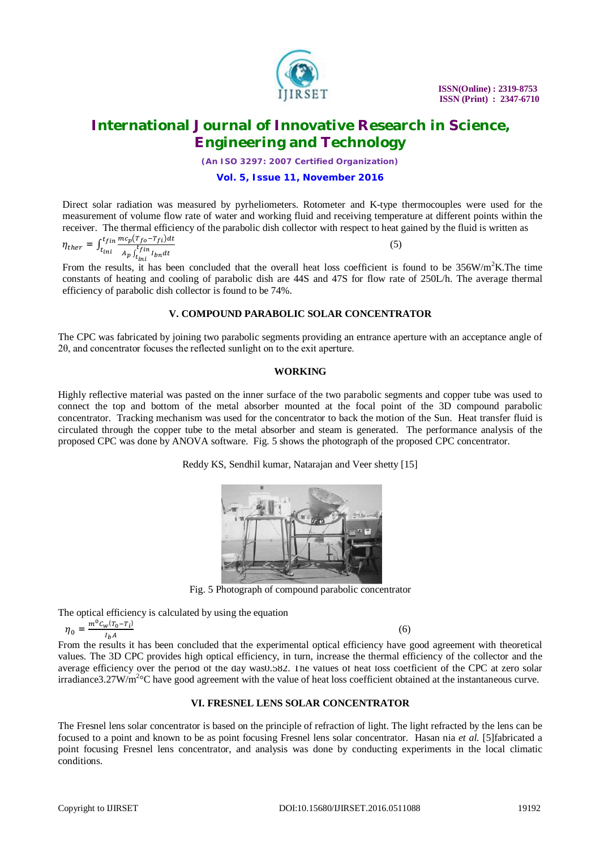

*(An ISO 3297: 2007 Certified Organization)*

#### **Vol. 5, Issue 11, November 2016**

Direct solar radiation was measured by pyrheliometers. Rotometer and K-type thermocouples were used for the measurement of volume flow rate of water and working fluid and receiving temperature at different points within the receiver. The thermal efficiency of the parabolic dish collector with respect to heat gained by the fluid is written as

$$
\eta_{ther} = \int_{t_{ini}}^{t_{fin}} \frac{mc_p (r_{fo} - r_{fi}) dt}{A_p \int_{t_{ini}}^{t_{fin}} l_{bn} dt}
$$
\n(5)

From the results, it has been concluded that the overall heat loss coefficient is found to be  $356W/m<sup>2</sup>K$ . The time constants of heating and cooling of parabolic dish are 44S and 47S for flow rate of 250L/h. The average thermal efficiency of parabolic dish collector is found to be 74%.

#### **V. COMPOUND PARABOLIC SOLAR CONCENTRATOR**

The CPC was fabricated by joining two parabolic segments providing an entrance aperture with an acceptance angle of 2θ, and concentrator focuses the reflected sunlight on to the exit aperture.

#### **WORKING**

Highly reflective material was pasted on the inner surface of the two parabolic segments and copper tube was used to connect the top and bottom of the metal absorber mounted at the focal point of the 3D compound parabolic concentrator. Tracking mechanism was used for the concentrator to back the motion of the Sun. Heat transfer fluid is circulated through the copper tube to the metal absorber and steam is generated. The performance analysis of the proposed CPC was done by ANOVA software. Fig. 5 shows the photograph of the proposed CPC concentrator.

Reddy KS, Sendhil kumar, Natarajan and Veer shetty [15]



Fig. 5 Photograph of compound parabolic concentrator

The optical efficiency is calculated by using the equation

$$
\eta_0 = \frac{m^0 c_w (T_0 - T_i)}{I_b A}
$$

 $(6)$ 

From the results it has been concluded that the experimental optical efficiency have good agreement with theoretical values. The 3D CPC provides high optical efficiency, in turn, increase the thermal efficiency of the collector and the average efficiency over the period of the day was0.582. The values of heat loss coefficient of the CPC at zero solar irradiance3.27W/m<sup>2</sup>°C have good agreement with the value of heat loss coefficient obtained at the instantaneous curve.

#### **VI. FRESNEL LENS SOLAR CONCENTRATOR**

The Fresnel lens solar concentrator is based on the principle of refraction of light. The light refracted by the lens can be focused to a point and known to be as point focusing Fresnel lens solar concentrator. Hasan nia *et al.* [5]fabricated a point focusing Fresnel lens concentrator, and analysis was done by conducting experiments in the local climatic conditions.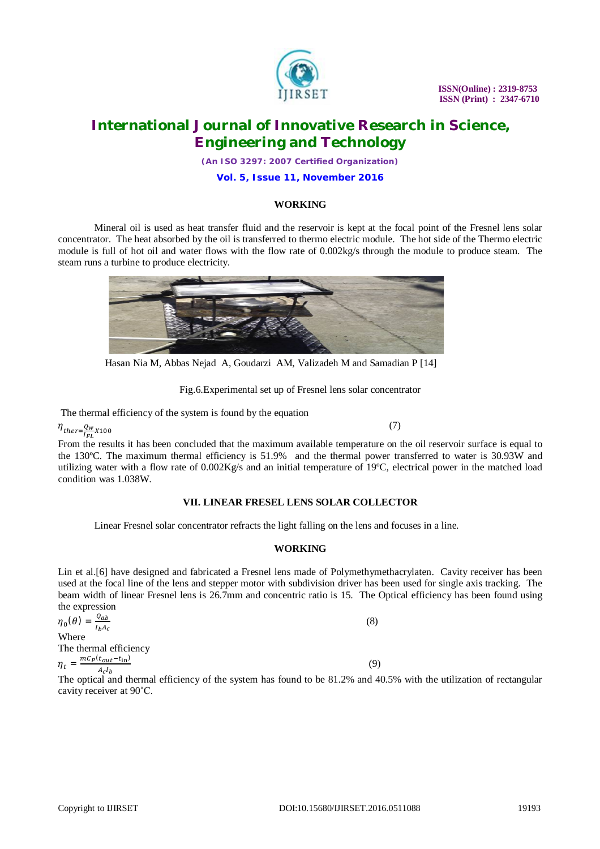

*(An ISO 3297: 2007 Certified Organization)*

**Vol. 5, Issue 11, November 2016**

#### **WORKING**

Mineral oil is used as heat transfer fluid and the reservoir is kept at the focal point of the Fresnel lens solar concentrator. The heat absorbed by the oil is transferred to thermo electric module. The hot side of the Thermo electric module is full of hot oil and water flows with the flow rate of 0.002kg/s through the module to produce steam. The steam runs a turbine to produce electricity.



Hasan Nia M, Abbas Nejad A, Goudarzi AM, Valizadeh M and Samadian P [14]

Fig.6.Experimental set up of Fresnel lens solar concentrator

The thermal efficiency of the system is found by the equation

 $\eta_{\scriptscriptstyle ther} = \frac{Q_W}{I_{FL}}$  $X100$  (7)

From the results it has been concluded that the maximum available temperature on the oil reservoir surface is equal to the 130ºC. The maximum thermal efficiency is 51.9% and the thermal power transferred to water is 30.93W and utilizing water with a flow rate of 0.002Kg/s and an initial temperature of 19ºC, electrical power in the matched load condition was 1.038W.

### **VII. LINEAR FRESEL LENS SOLAR COLLECTOR**

Linear Fresnel solar concentrator refracts the light falling on the lens and focuses in a line.

#### **WORKING**

Lin et al.[6] have designed and fabricated a Fresnel lens made of Polymethymethacrylaten. Cavity receiver has been used at the focal line of the lens and stepper motor with subdivision driver has been used for single axis tracking. The beam width of linear Fresnel lens is 26.7mm and concentric ratio is 15. The Optical efficiency has been found using the expression

 $\eta_0(\theta) = \frac{Q_{ab}}{I_0 A}$  $I_bA_c$  (8) **Where** The thermal efficiency  $\eta_t = \frac{mC_P(t_{out}-t_{in})}{4}$  $A_cI_h$ (9)

The optical and thermal efficiency of the system has found to be 81.2% and 40.5% with the utilization of rectangular cavity receiver at 90˚C.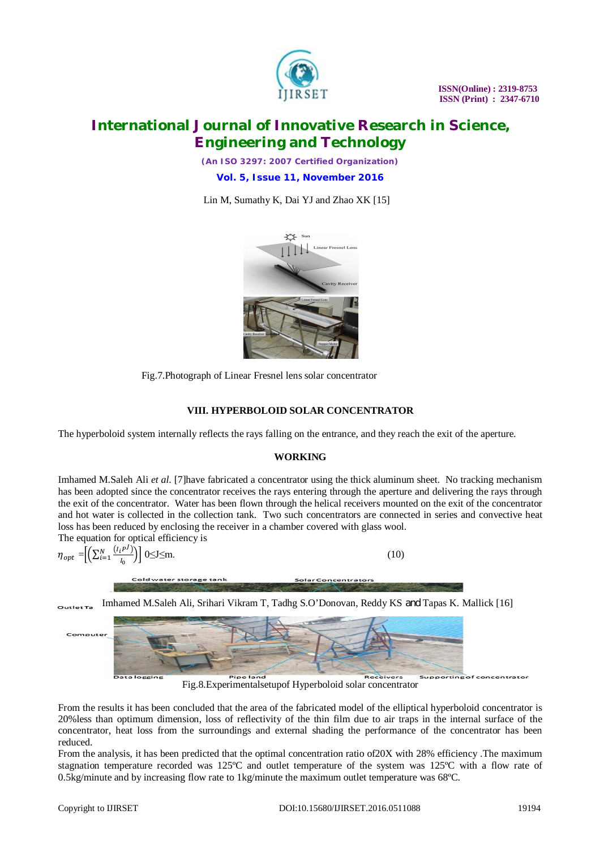

*(An ISO 3297: 2007 Certified Organization)*

**Vol. 5, Issue 11, November 2016**

Lin M, Sumathy K, Dai YJ and Zhao XK [15]



Fig.7.Photograph of Linear Fresnel lens solar concentrator

### **VIII. HYPERBOLOID SOLAR CONCENTRATOR**

The hyperboloid system internally reflects the rays falling on the entrance, and they reach the exit of the aperture.

#### **WORKING**

Imhamed M.Saleh Ali *et al*. [7]have fabricated a concentrator using the thick aluminum sheet. No tracking mechanism has been adopted since the concentrator receives the rays entering through the aperture and delivering the rays through the exit of the concentrator. Water has been flown through the helical receivers mounted on the exit of the concentrator and hot water is collected in the collection tank. Two such concentrators are connected in series and convective heat loss has been reduced by enclosing the receiver in a chamber covered with glass wool.

Solar Concentrators

The equation for optical efficiency is J

$$
\eta_{opt} = \left[ \left( \sum_{i=1}^{N} \frac{(I_i P^j)}{I_0} \right) \right] 0 \le J \le m. \tag{10}
$$

Cold water storage tank

Imhamed M.Saleh Ali, Srihari Vikram T, Tadhg S.O'Donovan, Reddy KS and Tapas K. Mallick [16] $Q(1)$ 



Fig.8.Experimentalsetupof Hyperboloid solar concentrator

From the results it has been concluded that the area of the fabricated model of the elliptical hyperboloid concentrator is 20%less than optimum dimension, loss of reflectivity of the thin film due to air traps in the internal surface of the concentrator, heat loss from the surroundings and external shading the performance of the concentrator has been reduced.

From the analysis, it has been predicted that the optimal concentration ratio of 20X with 28% efficiency .The maximum stagnation temperature recorded was 125ºC and outlet temperature of the system was 125ºC with a flow rate of 0.5kg/minute and by increasing flow rate to 1kg/minute the maximum outlet temperature was 68ºC.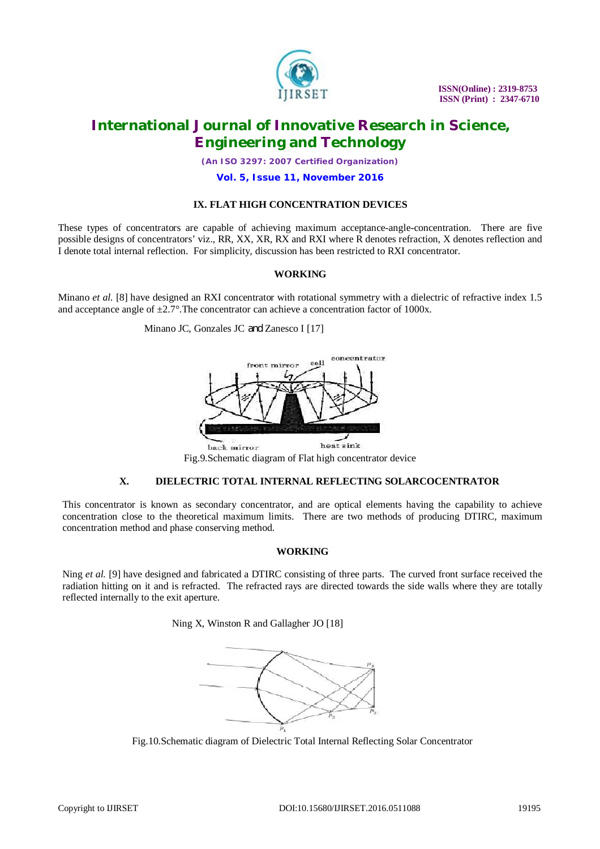

 **ISSN(Online) : 2319-8753 ISSN (Print) : 2347-6710**

### **International Journal of Innovative Research in Science, Engineering and Technology**

*(An ISO 3297: 2007 Certified Organization)*

#### **Vol. 5, Issue 11, November 2016**

### **IX. FLAT HIGH CONCENTRATION DEVICES**

These types of concentrators are capable of achieving maximum acceptance-angle-concentration. There are five possible designs of concentrators' viz., RR, XX, XR, RX and RXI where R denotes refraction, X denotes reflection and I denote total internal reflection. For simplicity, discussion has been restricted to RXI concentrator.

#### **WORKING**

Minano *et al.* [8] have designed an RXI concentrator with rotational symmetry with a dielectric of refractive index 1.5 and acceptance angle of ±2.7*°*.The concentrator can achieve a concentration factor of 1000x.

Minano JC, Gonzales JC and Zanesco I [17]



Fig.9.Schematic diagram of Flat high concentrator device

### **X. DIELECTRIC TOTAL INTERNAL REFLECTING SOLARCOCENTRATOR**

This concentrator is known as secondary concentrator, and are optical elements having the capability to achieve concentration close to the theoretical maximum limits. There are two methods of producing DTIRC, maximum concentration method and phase conserving method.

#### **WORKING**

Ning *et al.* [9] have designed and fabricated a DTIRC consisting of three parts. The curved front surface received the radiation hitting on it and is refracted. The refracted rays are directed towards the side walls where they are totally reflected internally to the exit aperture.

Ning X, Winston R and Gallagher JO [18]



Fig.10.Schematic diagram of Dielectric Total Internal Reflecting Solar Concentrator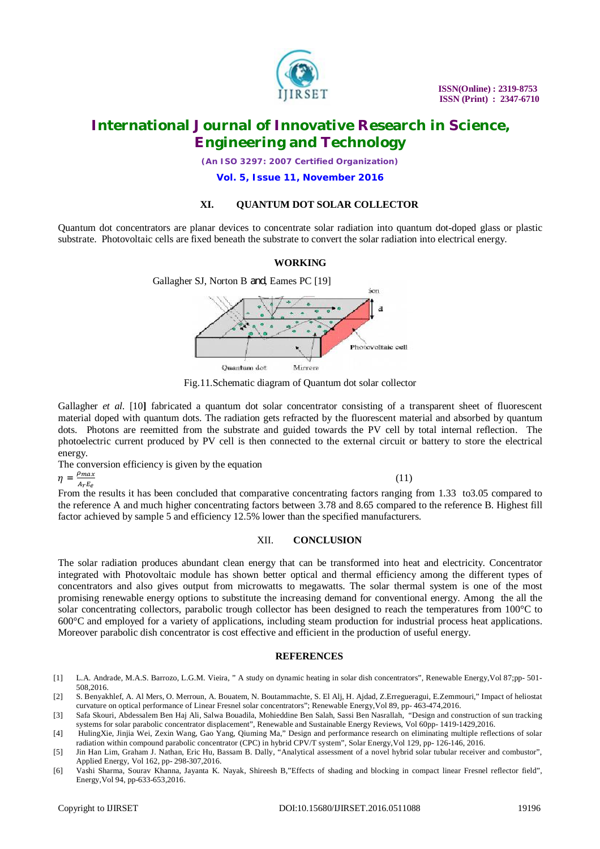

*(An ISO 3297: 2007 Certified Organization)*

**Vol. 5, Issue 11, November 2016**

#### **XI. QUANTUM DOT SOLAR COLLECTOR**

Quantum dot concentrators are planar devices to concentrate solar radiation into quantum dot-doped glass or plastic substrate. Photovoltaic cells are fixed beneath the substrate to convert the solar radiation into electrical energy.

### **WORKING**



Fig.11.Schematic diagram of Quantum dot solar collector

Gallagher *et al.* [10] fabricated a quantum dot solar concentrator consisting of a transparent sheet of fluorescent material doped with quantum dots. The radiation gets refracted by the fluorescent material and absorbed by quantum dots. Photons are reemitted from the substrate and guided towards the PV cell by total internal reflection. The photoelectric current produced by PV cell is then connected to the external circuit or battery to store the electrical energy.

The conversion efficiency is given by the equation

 $\eta = \frac{\rho_{max}}{4.5}$  $ArE<sub>e</sub>$ 

 $(11)$ 

From the results it has been concluded that comparative concentrating factors ranging from 1.33 to3.05 compared to the reference A and much higher concentrating factors between 3.78 and 8.65 compared to the reference B. Highest fill factor achieved by sample 5 and efficiency 12.5% lower than the specified manufacturers.

#### XII. **CONCLUSION**

The solar radiation produces abundant clean energy that can be transformed into heat and electricity. Concentrator integrated with Photovoltaic module has shown better optical and thermal efficiency among the different types of concentrators and also gives output from microwatts to megawatts. The solar thermal system is one of the most promising renewable energy options to substitute the increasing demand for conventional energy. Among the all the solar concentrating collectors, parabolic trough collector has been designed to reach the temperatures from 100°C to 600°C and employed for a variety of applications, including steam production for industrial process heat applications. Moreover parabolic dish concentrator is cost effective and efficient in the production of useful energy.

#### **REFERENCES**

- [1] L.A. Andrade, M.A.S. Barrozo, L.G.M. Vieira, " A study on dynamic heating in solar dish concentrators", Renewable Energy,Vol 87;pp- 501- 508,2016.
- [2] S. Benyakhlef, A. Al Mers, O. Merroun, A. Bouatem, N. Boutammachte, S. El Alj, H. Ajdad, Z.Erregueragui, E.Zemmouri," Impact of heliostat curvature on optical performance of Linear Fresnel solar concentrators"; Renewable Energy,Vol 89, pp- 463-474,2016.
- [3] Safa Skouri, Abdessalem Ben Haj Ali, Salwa Bouadila, Mohieddine Ben Salah, Sassi Ben Nasrallah, "Design and construction of sun tracking systems for solar parabolic concentrator displacement", Renewable and Sustainable Energy Reviews, Vol 60pp- 1419-1429,2016.
- [4] HulingXie, Jinjia Wei, Zexin Wang, Gao Yang, Qiuming Ma," Design and performance research on eliminating multiple reflections of solar radiation within compound parabolic concentrator (CPC) in hybrid CPV/T system", Solar Energy,Vol 129, pp- 126-146, 2016.
- [5] Jin Han Lim, Graham J. Nathan, Eric Hu, Bassam B. Dally, "Analytical assessment of a novel hybrid solar tubular receiver and combustor", Applied Energy, Vol 162, pp- 298-307,2016.
- [6] Vashi Sharma, Sourav Khanna, Jayanta K. Nayak, Shireesh B,"Effects of shading and blocking in compact linear Fresnel reflector field", Energy,Vol 94, pp-633-653,2016.